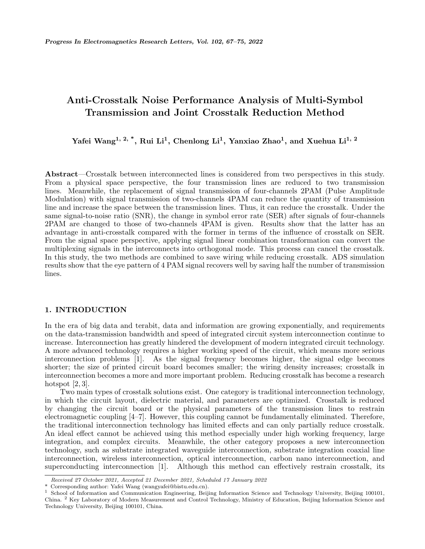# **Anti-Crosstalk Noise Performance Analysis of Multi-Symbol Transmission and Joint Crosstalk Reduction Method**

**Yafei Wang1, 2, \*, Rui Li<sup>1</sup> , Chenlong Li<sup>1</sup> , Yanxiao Zhao<sup>1</sup> , and Xuehua Li1, 2**

**Abstract**—Crosstalk between interconnected lines is considered from two perspectives in this study. From a physical space perspective, the four transmission lines are reduced to two transmission lines. Meanwhile, the replacement of signal transmission of four-channels 2PAM (Pulse Amplitude Modulation) with signal transmission of two-channels 4PAM can reduce the quantity of transmission line and increase the space between the transmission lines. Thus, it can reduce the crosstalk. Under the same signal-to-noise ratio (SNR), the change in symbol error rate (SER) after signals of four-channels 2PAM are changed to those of two-channels 4PAM is given. Results show that the latter has an advantage in anti-crosstalk compared with the former in terms of the influence of crosstalk on SER. From the signal space perspective, applying signal linear combination transformation can convert the multiplexing signals in the interconnects into orthogonal mode. This process can cancel the crosstalk. In this study, the two methods are combined to save wiring while reducing crosstalk. ADS simulation results show that the eye pattern of 4 PAM signal recovers well by saving half the number of transmission lines.

#### **1. INTRODUCTION**

In the era of big data and terabit, data and information are growing exponentially, and requirements on the data-transmission bandwidth and speed of integrated circuit system interconnection continue to increase. Interconnection has greatly hindered the development of modern integrated circuit technology. A more advanced technology requires a higher working speed of the circuit, which means more serious interconnection problems [1]. As the signal frequency becomes higher, the signal edge becomes shorter; the size of printed circuit board becomes smaller; the wiring density increases; crosstalk in interconnection becomes a more and more important problem. Reducing crosstalk has become a research hotspot  $[2, 3]$ .

Two main types of crosstalk solutions exist. One category is traditional interconnection technology, in which the circuit layout, dielectric material, and parameters are optimized. Crosstalk is reduced by changing the circuit board or the physical parameters of the transmission lines to restrain electromagnetic coupling [4–7]. However, this coupling cannot be fundamentally eliminated. Therefore, the traditional interconnection technology has limited effects and can only partially reduce crosstalk. An ideal effect cannot be achieved using this method especially under high working frequency, large integration, and complex circuits. Meanwhile, the other category proposes a new interconnection technology, such as substrate integrated waveguide interconnection, substrate integration coaxial line interconnection, wireless interconnection, optical interconnection, carbon nano interconnection, and superconducting interconnection [1]. Although this method can effectively restrain crosstalk, its

*Received 27 October 2021, Accepted 21 December 2021, Scheduled 17 January 2022*

Corresponding author: Yafei Wang (wangyafei@bistu.edu.cn).

<sup>&</sup>lt;sup>1</sup> School of Information and Communication Engineering, Beijing Information Science and Technology University, Beijing 100101, China. <sup>2</sup> Key Laboratory of Modern Measurement and Control Technology, Ministry of Education, Beijing Information Science and Technology University, Beijing 100101, China.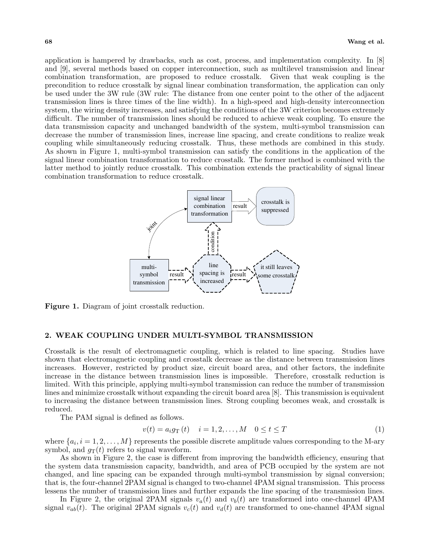application is hampered by drawbacks, such as cost, process, and implementation complexity. In [8] and [9], several methods based on copper interconnection, such as multilevel transmission and linear combination transformation, are proposed to reduce crosstalk. Given that weak coupling is the precondition to reduce crosstalk by signal linear combination transformation, the application can only be used under the 3W rule (3W rule: The distance from one center point to the other of the adjacent transmission lines is three times of the line width). In a high-speed and high-density interconnection system, the wiring density increases, and satisfying the conditions of the 3W criterion becomes extremely difficult. The number of transmission lines should be reduced to achieve weak coupling. To ensure the data transmission capacity and unchanged bandwidth of the system, multi-symbol transmission can decrease the number of transmission lines, increase line spacing, and create conditions to realize weak coupling while simultaneously reducing crosstalk. Thus, these methods are combined in this study. As shown in Figure 1, multi-symbol transmission can satisfy the conditions in the application of the signal linear combination transformation to reduce crosstalk. The former method is combined with the latter method to jointly reduce crosstalk. This combination extends the practicability of signal linear combination transformation to reduce crosstalk.



**Figure 1.** Diagram of joint crosstalk reduction.

# **2. WEAK COUPLING UNDER MULTI-SYMBOL TRANSMISSION**

Crosstalk is the result of electromagnetic coupling, which is related to line spacing. Studies have shown that electromagnetic coupling and crosstalk decrease as the distance between transmission lines increases. However, restricted by product size, circuit board area, and other factors, the indefinite increase in the distance between transmission lines is impossible. Therefore, crosstalk reduction is limited. With this principle, applying multi-symbol transmission can reduce the number of transmission lines and minimize crosstalk without expanding the circuit board area [8]. This transmission is equivalent to increasing the distance between transmission lines. Strong coupling becomes weak, and crosstalk is reduced.

The PAM signal is defined as follows.

$$
v(t) = a_i g_{\text{T}}(t) \quad i = 1, 2, ..., M \quad 0 \le t \le T \tag{1}
$$

where  $\{a_i, i = 1, 2, \ldots, M\}$  represents the possible discrete amplitude values corresponding to the M-ary symbol, and  $g_T(t)$  refers to signal waveform.

As shown in Figure 2, the case is different from improving the bandwidth efficiency, ensuring that the system data transmission capacity, bandwidth, and area of PCB occupied by the system are not changed, and line spacing can be expanded through multi-symbol transmission by signal conversion; that is, the four-channel 2PAM signal is changed to two-channel 4PAM signal transmission. This process lessens the number of transmission lines and further expands the line spacing of the transmission lines.

In Figure 2, the original 2PAM signals  $v_a(t)$  and  $v_b(t)$  are transformed into one-channel 4PAM signal  $v_{ab}(t)$ . The original 2PAM signals  $v_c(t)$  and  $v_d(t)$  are transformed to one-channel 4PAM signal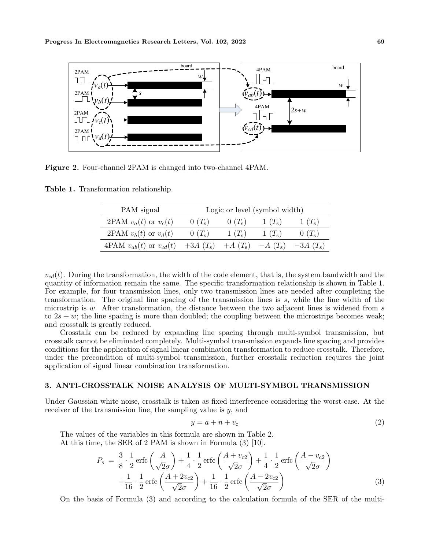

**Figure 2.** Four-channel 2PAM is changed into two-channel 4PAM.

**Table 1.** Transformation relationship.

| PAM signal                                                        | Logic or level (symbol width) |                |                |                |
|-------------------------------------------------------------------|-------------------------------|----------------|----------------|----------------|
| 2PAM $v_a(t)$ or $v_c(t)$                                         | $0(T_{\rm s})$                | $0(T_{\rm s})$ | $1(T_{\rm s})$ | $1(T_{\rm s})$ |
| 2PAM $v_b(t)$ or $v_d(t)$                                         | $0(T_{\rm s})$                | $1(T_{\rm s})$ | $1(T_{\rm s})$ | $0(T_{\rm s})$ |
| 4PAM $v_{ab}(t)$ or $v_{cd}(t)$ +3A $(T_s)$ +A $(T_s)$ -A $(T_s)$ |                               |                |                | $-3A(T_s)$     |

 $v_{cd}(t)$ . During the transformation, the width of the code element, that is, the system bandwidth and the quantity of information remain the same. The specific transformation relationship is shown in Table 1. For example, for four transmission lines, only two transmission lines are needed after completing the transformation. The original line spacing of the transmission lines is *s*, while the line width of the microstrip is *w*. After transformation, the distance between the two adjacent lines is widened from *s* to  $2s + w$ ; the line spacing is more than doubled; the coupling between the microstrips becomes weak; and crosstalk is greatly reduced.

Crosstalk can be reduced by expanding line spacing through multi-symbol transmission, but crosstalk cannot be eliminated completely. Multi-symbol transmission expands line spacing and provides conditions for the application of signal linear combination transformation to reduce crosstalk. Therefore, under the precondition of multi-symbol transmission, further crosstalk reduction requires the joint application of signal linear combination transformation.

# **3. ANTI-CROSSTALK NOISE ANALYSIS OF MULTI-SYMBOL TRANSMISSION**

Under Gaussian white noise, crosstalk is taken as fixed interference considering the worst-case. At the receiver of the transmission line, the sampling value is *y*, and

$$
y = a + n + vc
$$
 (2)

The values of the variables in this formula are shown in Table 2. At this time, the SER of 2 PAM is shown in Formula (3) [10].

$$
P_{\rm s} = \frac{3}{8} \cdot \frac{1}{2} \operatorname{erfc} \left( \frac{A}{\sqrt{2}\sigma} \right) + \frac{1}{4} \cdot \frac{1}{2} \operatorname{erfc} \left( \frac{A + v_{\rm c2}}{\sqrt{2}\sigma} \right) + \frac{1}{4} \cdot \frac{1}{2} \operatorname{erfc} \left( \frac{A - v_{\rm c2}}{\sqrt{2}\sigma} \right) + \frac{1}{16} \cdot \frac{1}{2} \operatorname{erfc} \left( \frac{A + 2v_{\rm c2}}{\sqrt{2}\sigma} \right) + \frac{1}{16} \cdot \frac{1}{2} \operatorname{erfc} \left( \frac{A - 2v_{\rm c2}}{\sqrt{2}\sigma} \right)
$$
(3)

On the basis of Formula (3) and according to the calculation formula of the SER of the multi-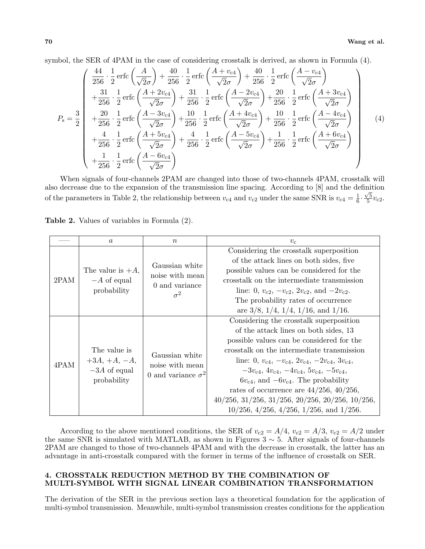symbol, the SER of 4PAM in the case of considering crosstalk is derived, as shown in Formula (4).

$$
P_{\rm s} = \frac{3}{2} \begin{pmatrix} \frac{44}{256} \cdot \frac{1}{2} \operatorname{erfc} \left( \frac{A}{\sqrt{2}\sigma} \right) + \frac{40}{256} \cdot \frac{1}{2} \operatorname{erfc} \left( \frac{A + v_{\rm c4}}{\sqrt{2}\sigma} \right) + \frac{40}{256} \cdot \frac{1}{2} \operatorname{erfc} \left( \frac{A - v_{\rm c4}}{\sqrt{2}\sigma} \right) \\ + \frac{31}{256} \cdot \frac{1}{2} \operatorname{erfc} \left( \frac{A + 2v_{\rm c4}}{\sqrt{2}\sigma} \right) + \frac{31}{256} \cdot \frac{1}{2} \operatorname{erfc} \left( \frac{A - 2v_{\rm c4}}{\sqrt{2}\sigma} \right) + \frac{20}{256} \cdot \frac{1}{2} \operatorname{erfc} \left( \frac{A + 3v_{\rm c4}}{\sqrt{2}\sigma} \right) \\ + \frac{20}{256} \cdot \frac{1}{2} \operatorname{erfc} \left( \frac{A - 3v_{\rm c4}}{\sqrt{2}\sigma} \right) + \frac{10}{256} \cdot \frac{1}{2} \operatorname{erfc} \left( \frac{A + 4v_{\rm c4}}{\sqrt{2}\sigma} \right) + \frac{10}{256} \cdot \frac{1}{2} \operatorname{erfc} \left( \frac{A - 4v_{\rm c4}}{\sqrt{2}\sigma} \right) \\ + \frac{4}{256} \cdot \frac{1}{2} \operatorname{erfc} \left( \frac{A + 5v_{\rm c4}}{\sqrt{2}\sigma} \right) + \frac{4}{256} \cdot \frac{1}{2} \operatorname{erfc} \left( \frac{A - 5v_{\rm c4}}{\sqrt{2}\sigma} \right) + \frac{1}{256} \cdot \frac{1}{2} \operatorname{erfc} \left( \frac{A + 6v_{\rm c4}}{\sqrt{2}\sigma} \right) \\ + \frac{1}{256} \cdot \frac{1}{2} \operatorname{erfc} \left( \frac{A - 6v_{\rm c4}}{\sqrt{2}\sigma} \right) \end{pmatrix} (4)
$$

When signals of four-channels 2PAM are changed into those of two-channels 4PAM, crosstalk will also decrease due to the expansion of the transmission line spacing. According to [8] and the definition of the parameters in Table 2, the relationship between  $v_{c4}$  and  $v_{c2}$  under the same SNR is  $v_{c4} = \frac{1}{6}$  $\frac{1}{6} \cdot \frac{\sqrt{5}}{5}$  $rac{75}{5}v_{c2}$ .

| <b>Table 2.</b> Values of variables in Formula (2). |
|-----------------------------------------------------|
|-----------------------------------------------------|

|                                                       | $\boldsymbol{a}$    | $\boldsymbol{n}$                                                  | $v_{\rm c}$                                                          |
|-------------------------------------------------------|---------------------|-------------------------------------------------------------------|----------------------------------------------------------------------|
| 2PAM                                                  | The value is $+A$ , | Gaussian white<br>noise with mean<br>0 and variance<br>$\sigma^2$ | Considering the crosstalk superposition                              |
|                                                       |                     |                                                                   | of the attack lines on both sides, five                              |
|                                                       |                     |                                                                   | possible values can be considered for the                            |
|                                                       | $-A$ of equal       |                                                                   | crosstalk on the intermediate transmission                           |
|                                                       | probability         |                                                                   | line: 0, $v_{c2}$ , $-v_{c2}$ , $2v_{c2}$ , and $-2v_{c2}$ .         |
|                                                       |                     |                                                                   | The probability rates of occurrence                                  |
|                                                       |                     |                                                                   | are $3/8$ , $1/4$ , $1/4$ , $1/16$ , and $1/16$ .                    |
| The value is<br>4PAM<br>$-3A$ of equal<br>probability |                     | Gaussian white                                                    | Considering the crosstalk superposition                              |
|                                                       |                     |                                                                   | of the attack lines on both sides, 13                                |
|                                                       |                     |                                                                   | possible values can be considered for the                            |
|                                                       |                     |                                                                   | crosstalk on the intermediate transmission                           |
|                                                       | $+3A, +A, -A,$      | noise with mean                                                   | line: 0, $v_{c4}$ , $-v_{c4}$ , $2v_{c4}$ , $-2v_{c4}$ , $3v_{c4}$ , |
|                                                       |                     | 0 and variance $\sigma^2$                                         | $-3v_{c4}, 4v_{c4}, -4v_{c4}, 5v_{c4}, -5v_{c4},$                    |
|                                                       |                     |                                                                   | $6v_{c4}$ , and $-6v_{c4}$ . The probability                         |
|                                                       |                     |                                                                   | rates of occurrence are $44/256$ , $40/256$ ,                        |
|                                                       |                     |                                                                   | $40/256$ , $31/256$ , $31/256$ , $20/256$ , $20/256$ , $10/256$ ,    |
|                                                       |                     |                                                                   | $10/256$ , $4/256$ , $4/256$ , $1/256$ , and $1/256$ .               |

According to the above mentioned conditions, the SER of  $v_{c2} = A/4$ ,  $v_{c2} = A/3$ ,  $v_{c2} = A/2$  under the same SNR is simulated with MATLAB, as shown in Figures 3 *∼* 5. After signals of four-channels 2PAM are changed to those of two-channels 4PAM and with the decrease in crosstalk, the latter has an advantage in anti-crosstalk compared with the former in terms of the influence of crosstalk on SER.

# **4. CROSSTALK REDUCTION METHOD BY THE COMBINATION OF MULTI-SYMBOL WITH SIGNAL LINEAR COMBINATION TRANSFORMATION**

The derivation of the SER in the previous section lays a theoretical foundation for the application of multi-symbol transmission. Meanwhile, multi-symbol transmission creates conditions for the application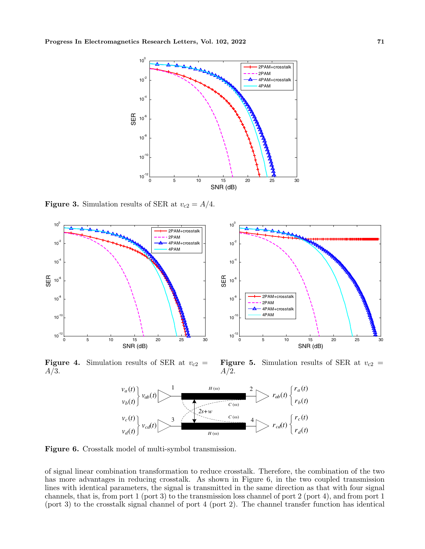

**Figure 3.** Simulation results of SER at  $v_{c2} = A/4$ .



**Figure 4.** Simulation results of SER at  $v_{c2}$  = *A/*3.

**Figure 5.** Simulation results of SER at  $v_{c2}$  = *A/*2.



**Figure 6.** Crosstalk model of multi-symbol transmission.

of signal linear combination transformation to reduce crosstalk. Therefore, the combination of the two has more advantages in reducing crosstalk. As shown in Figure 6, in the two coupled transmission lines with identical parameters, the signal is transmitted in the same direction as that with four signal channels, that is, from port 1 (port 3) to the transmission loss channel of port 2 (port 4), and from port 1 (port 3) to the crosstalk signal channel of port 4 (port 2). The channel transfer function has identical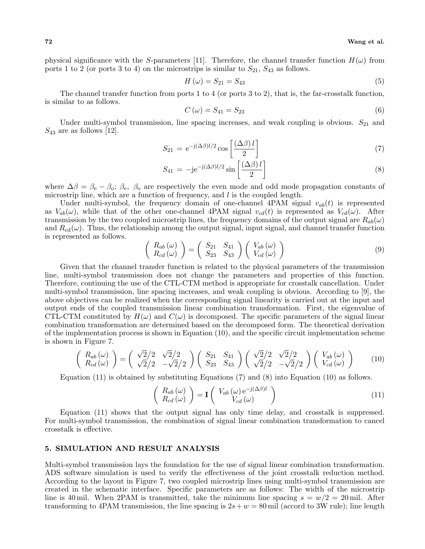physical significance with the *S*-parameters [11]. Therefore, the channel transfer function  $H(\omega)$  from ports 1 to 2 (or ports 3 to 4) on the microstrips is similar to  $S_{21}$ ,  $S_{43}$  as follows.

$$
H(\omega) = S_{21} = S_{43} \tag{5}
$$

The channel transfer function from ports 1 to 4 (or ports 3 to 2), that is, the far-crosstalk function, is similar to as follows.

$$
C(\omega) = S_{41} = S_{23} \tag{6}
$$

Under multi-symbol transmission, line spacing increases, and weak coupling is obvious.  $S_{21}$  and  $S_{43}$  are as follows [12].

$$
S_{21} = e^{-j(\Delta\beta)l/2} \cos\left[\frac{(\Delta\beta)l}{2}\right]
$$
\n(7)

$$
S_{41} = -j e^{-j(\Delta \beta)l/2} \sin \left[\frac{(\Delta \beta)l}{2}\right]
$$
\n(8)

where  $\Delta\beta = \beta_e - \beta_o$ ;  $\beta_e$ ,  $\beta_o$  are respectively the even mode and odd mode propagation constants of microstrip line, which are a function of frequency, and *l* is the coupled length.

Under multi-symbol, the frequency domain of one-channel 4PAM signal  $v_{ab}(t)$  is represented as  $V_{ab}(\omega)$ , while that of the other one-channel 4PAM signal  $v_{cd}(t)$  is represented as  $V_{cd}(\omega)$ . After transmission by the two coupled microstrip lines, the frequency domains of the output signal are  $R_{ab}(\omega)$ and  $R_{cd}(\omega)$ . Thus, the relationship among the output signal, input signal, and channel transfer function is represented as follows.

$$
\begin{pmatrix}\nR_{ab}(\omega) \\
R_{cd}(\omega)\n\end{pmatrix} = \begin{pmatrix}\nS_{21} & S_{41} \\
S_{23} & S_{43}\n\end{pmatrix} \begin{pmatrix}\nV_{ab}(\omega) \\
V_{cd}(\omega)\n\end{pmatrix}
$$
\n(9)

Given that the channel transfer function is related to the physical parameters of the transmission line, multi-symbol transmission does not change the parameters and properties of this function. Therefore, continuing the use of the CTL-CTM method is appropriate for crosstalk cancellation. Under multi-symbol transmission, line spacing increases, and weak coupling is obvious. According to [9], the above objectives can be realized when the corresponding signal linearity is carried out at the input and output ends of the coupled transmission linear combination transformation. First, the eigenvalue of CTL-CTM constituted by  $H(\omega)$  and  $C(\omega)$  is decomposed. The specific parameters of the signal linear combination transformation are determined based on the decomposed form. The theoretical derivation of the implementation process is shown in Equation (10), and the specific circuit implementation scheme is shown in Figure 7.

$$
\begin{pmatrix}\nR_{ab}(\omega) \\
R_{cd}(\omega)\n\end{pmatrix} = \begin{pmatrix}\n\sqrt{2}/2 & \sqrt{2}/2 \\
\sqrt{2}/2 & -\sqrt{2}/2\n\end{pmatrix} \begin{pmatrix}\nS_{21} & S_{41} \\
S_{23} & S_{43}\n\end{pmatrix} \begin{pmatrix}\n\sqrt{2}/2 & \sqrt{2}/2 \\
\sqrt{2}/2 & -\sqrt{2}/2\n\end{pmatrix} \begin{pmatrix}\nV_{ab}(\omega) \\
V_{cd}(\omega)\n\end{pmatrix}
$$
\n(10)

Equation (11) is obtained by substituting Equations (7) and (8) into Equation (10) as follows.

$$
\begin{pmatrix} R_{ab}(\omega) \\ R_{cd}(\omega) \end{pmatrix} = \mathbf{I} \begin{pmatrix} V_{ab}(\omega) e^{-j(\Delta \beta)l} \\ V_{cd}(\omega) \end{pmatrix}
$$
 (11)

Equation (11) shows that the output signal has only time delay, and crosstalk is suppressed. For multi-symbol transmission, the combination of signal linear combination transformation to cancel crosstalk is effective.

### **5. SIMULATION AND RESULT ANALYSIS**

Multi-symbol transmission lays the foundation for the use of signal linear combination transformation. ADS software simulation is used to verify the effectiveness of the joint crosstalk reduction method. According to the layout in Figure 7, two coupled microstrip lines using multi-symbol transmission are created in the schematic interface. Specific parameters are as follows: The width of the microstrip line is 40 mil. When 2PAM is transmitted, take the minimum line spacing  $s = w/2 = 20$  mil. After transforming to 4PAM transmission, the line spacing is  $2s + w = 80$  mil (accord to 3W rule); line length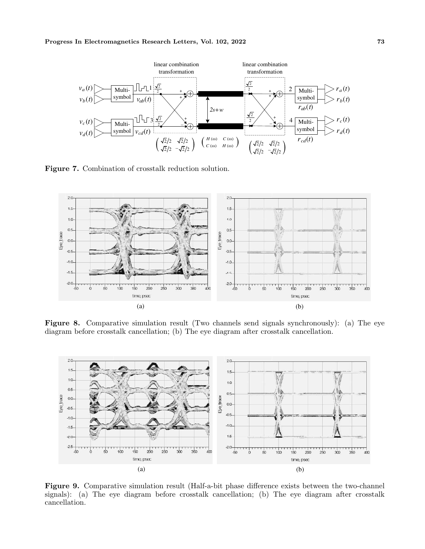

**Figure 7.** Combination of crosstalk reduction solution.



**Figure 8.** Comparative simulation result (Two channels send signals synchronously): (a) The eye diagram before crosstalk cancellation; (b) The eye diagram after crosstalk cancellation.



**Figure 9.** Comparative simulation result (Half-a-bit phase difference exists between the two-channel signals): (a) The eye diagram before crosstalk cancellation; (b) The eye diagram after crosstalk cancellation.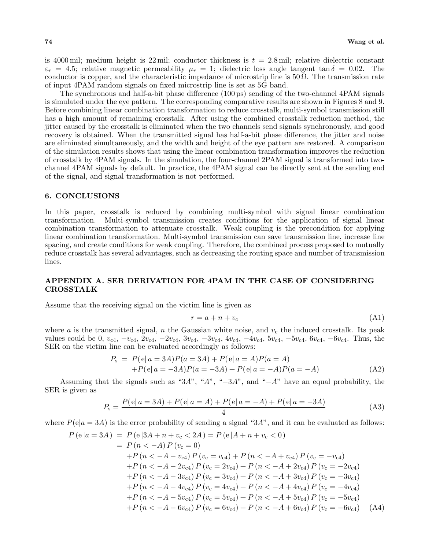is 4000 mil; medium height is  $22$  mil; conductor thickness is  $t = 2.8$  mil; relative dielectric constant  $\varepsilon_r = 4.5$ ; relative magnetic permeability  $\mu_r = 1$ ; dielectric loss angle tangent tan  $\delta = 0.02$ . The conductor is copper, and the characteristic impedance of microstrip line is  $50 \Omega$ . The transmission rate of input 4PAM random signals on fixed microstrip line is set as 5G band.

The synchronous and half-a-bit phase difference (100 ps) sending of the two-channel 4PAM signals is simulated under the eye pattern. The corresponding comparative results are shown in Figures 8 and 9. Before combining linear combination transformation to reduce crosstalk, multi-symbol transmission still has a high amount of remaining crosstalk. After using the combined crosstalk reduction method, the jitter caused by the crosstalk is eliminated when the two channels send signals synchronously, and good recovery is obtained. When the transmitted signal has half-a-bit phase difference, the jitter and noise are eliminated simultaneously, and the width and height of the eye pattern are restored. A comparison of the simulation results shows that using the linear combination transformation improves the reduction of crosstalk by 4PAM signals. In the simulation, the four-channel 2PAM signal is transformed into twochannel 4PAM signals by default. In practice, the 4PAM signal can be directly sent at the sending end of the signal, and signal transformation is not performed.

#### **6. CONCLUSIONS**

In this paper, crosstalk is reduced by combining multi-symbol with signal linear combination transformation. Multi-symbol transmission creates conditions for the application of signal linear combination transformation to attenuate crosstalk. Weak coupling is the precondition for applying linear combination transformation. Multi-symbol transmission can save transmission line, increase line spacing, and create conditions for weak coupling. Therefore, the combined process proposed to mutually reduce crosstalk has several advantages, such as decreasing the routing space and number of transmission lines.

# **APPENDIX A. SER DERIVATION FOR 4PAM IN THE CASE OF CONSIDERING CROSSTALK**

Assume that the receiving signal on the victim line is given as

$$
r = a + n + v_{\rm c} \tag{A1}
$$

where *a* is the transmitted signal, *n* the Gaussian white noise, and  $v_c$  the induced crosstalk. Its peak values could be 0,  $v_{c4}$ ,  $-v_{c4}$ ,  $2v_{c4}$ ,  $-2v_{c4}$ ,  $3v_{c4}$ ,  $-3v_{c4}$ ,  $4v_{c4}$ ,  $-4v_{c4}$ ,  $5v_{c4}$ ,  $-5v_{c4}$ ,  $6v_{c4}$ ,  $-6v_{c4}$ . Thus, the SER on the victim line can be evaluated accordingly as follows:

$$
P_s = P(e|a = 3A)P(a = 3A) + P(e|a = A)P(a = A)
$$
  
+
$$
P(e|a = -3A)P(a = -3A) + P(e|a = -A)P(a = -A)
$$
 (A2)

Assuming that the signals such as "3*A*", "*A*", "*−*3*A*", and "*−A*" have an equal probability, the SER is given as

$$
P_{\rm s} = \frac{P(e|a=3A) + P(e|a=A) + P(e|a=-A) + P(e|a=-3A)}{4}
$$
 (A3)

where  $P(e|a = 3A)$  is the error probability of sending a signal "3A", and it can be evaluated as follows:

$$
P(e|a = 3A) = P(e|3A + n + v_c < 2A) = P(e|A + n + v_c < 0)
$$
  
=  $P(n < -A) P(v_c = 0)$   
+  $P(n < -A - v_{c4}) P(v_c = v_{c4}) + P(n < -A + v_{c4}) P(v_c = -v_{c4})$   
+  $P(n < -A - 2v_{c4}) P(v_c = 2v_{c4}) + P(n < -A + 2v_{c4}) P(v_c = -2v_{c4})$   
+  $P(n < -A - 3v_{c4}) P(v_c = 3v_{c4}) + P(n < -A + 3v_{c4}) P(v_c = -3v_{c4})$   
+  $P(n < -A - 4v_{c4}) P(v_c = 4v_{c4}) + P(n < -A + 4v_{c4}) P(v_c = -4v_{c4})$   
+  $P(n < -A - 5v_{c4}) P(v_c = 5v_{c4}) + P(n < -A + 5v_{c4}) P(v_c = -5v_{c4})$   
+  $P(n < -A - 6v_{c4}) P(v_c = 6v_{c4}) + P(n < -A + 6v_{c4}) P(v_c = -6v_{c4})$  (A4)